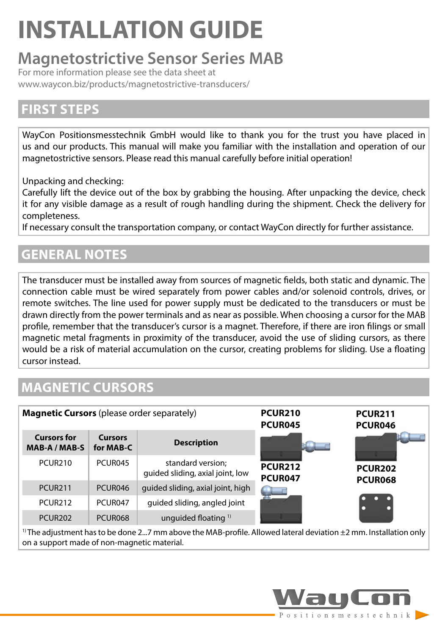# **INSTALLATION GUIDE**

### **Magnetostrictive Sensor Series MAB**

For more information please see the data sheet at [www.waycon.biz/products/magnetostrictive-transducers/](https://www.waycon.biz/products/magnetostrictive-transducers/)

### **FIRST STEPS**

WayCon Positionsmesstechnik GmbH would like to thank you for the trust you have placed in us and our products. This manual will make you familiar with the installation and operation of our magnetostrictive sensors. Please read this manual carefully before initial operation!

Unpacking and checking:

Carefully lift the device out of the box by grabbing the housing. After unpacking the device, check it for any visible damage as a result of rough handling during the shipment. Check the delivery for completeness.

If necessary consult the transportation company, or contact WayCon directly for further assistance.

### **GENERAL NOTES**

The transducer must be installed away from sources of magnetic fields, both static and dynamic. The connection cable must be wired separately from power cables and/or solenoid controls, drives, or remote switches. The line used for power supply must be dedicated to the transducers or must be drawn directly from the power terminals and as near as possible. When choosing a cursor for the MAB profile, remember that the transducer's cursor is a magnet. Therefore, if there are iron filings or small magnetic metal fragments in proximity of the transducer, avoid the use of sliding cursors, as there would be a risk of material accumulation on the cursor, creating problems for sliding. Use a floating cursor instead.

### **MAGNETIC CURSORS**

| <b>Magnetic Cursors</b> (please order separately) |                      |                                                       | <b>PCUR210</b><br>PCUR045 | <b>PCUR211</b><br>PCUR046 |  |  |
|---------------------------------------------------|----------------------|-------------------------------------------------------|---------------------------|---------------------------|--|--|
| <b>Cursors for</b><br>MAB-A / MAB-S               | Cursors<br>for MAB-C | <b>Description</b>                                    |                           |                           |  |  |
| <b>PCUR210</b>                                    | PCUR045              | standard version;<br>quided sliding, axial joint, low | <b>PCUR212</b><br>PCUR047 | <b>PCUR202</b><br>PCUR068 |  |  |
| PCUR <sub>211</sub>                               | PCUR046              | guided sliding, axial joint, high                     |                           |                           |  |  |
| PCUR <sub>212</sub>                               | PCUR047              | guided sliding, angled joint                          |                           |                           |  |  |
| <b>PCUR202</b>                                    | PCUR068              | unquided floating <sup>1)</sup>                       |                           |                           |  |  |

<sup>1)</sup> The adjustment has to be done 2...7 mm above the MAB-profile. Allowed lateral deviation  $\pm 2$  mm. Installation only on a support made of non-magnetic material.

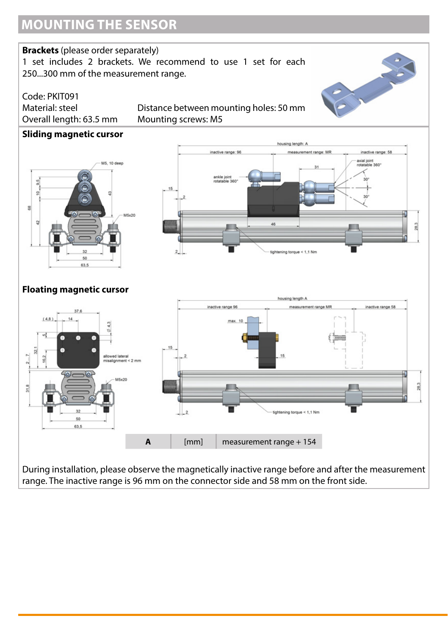#### **Brackets** (please order separately)

1 set includes 2 brackets. We recommend to use 1 set for each 250...300 mm of the measurement range.



Code: PKIT091 Overall length: 63.5 mm Mounting screws: M5

Material: steel Distance between mounting holes: 50 mm

#### **Sliding magnetic cursor**





#### **Floating magnetic cursor**



During installation, please observe the magnetically inactive range before and after the measurement range. The inactive range is 96 mm on the connector side and 58 mm on the front side.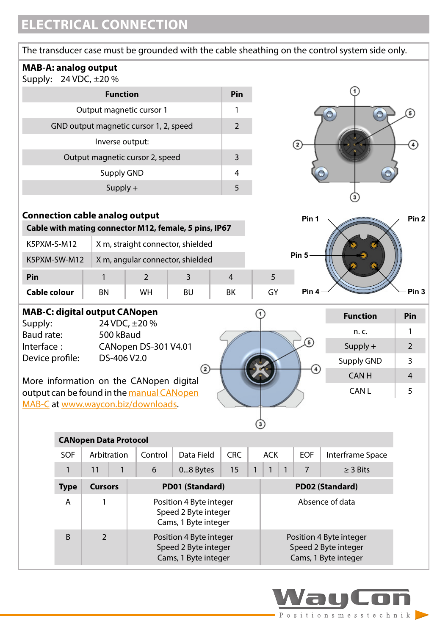### **ELECTRICAL CONNECTION**

| The transducer case must be grounded with the cable sheathing on the control system side only.                              |                                                  |                |          |                |                 |            |                   |                  |                  |  |  |
|-----------------------------------------------------------------------------------------------------------------------------|--------------------------------------------------|----------------|----------|----------------|-----------------|------------|-------------------|------------------|------------------|--|--|
| <b>MAB-A: analog output</b><br>Supply: 24 VDC, ±20 %                                                                        |                                                  |                |          |                |                 |            |                   |                  |                  |  |  |
|                                                                                                                             | Pin                                              |                |          |                |                 |            |                   |                  |                  |  |  |
| Output magnetic cursor 1                                                                                                    | 1                                                |                |          |                |                 |            |                   |                  |                  |  |  |
|                                                                                                                             | GND output magnetic cursor 1, 2, speed           |                |          | $\overline{2}$ |                 |            |                   |                  |                  |  |  |
|                                                                                                                             | Inverse output:                                  |                |          |                |                 |            | $\sqrt{2}$        |                  |                  |  |  |
|                                                                                                                             | Output magnetic cursor 2, speed                  |                |          | 3              |                 |            |                   |                  |                  |  |  |
|                                                                                                                             | Supply GND                                       |                |          | 4              |                 |            |                   |                  |                  |  |  |
|                                                                                                                             | $Supply +$                                       |                |          | 5              |                 |            |                   |                  |                  |  |  |
|                                                                                                                             |                                                  |                |          |                |                 |            |                   |                  |                  |  |  |
| <b>Connection cable analog output</b><br>Pin <sub>2</sub><br>Pin 1<br>Cable with mating connector M12, female, 5 pins, IP67 |                                                  |                |          |                |                 |            |                   |                  |                  |  |  |
|                                                                                                                             |                                                  |                |          |                |                 |            |                   |                  |                  |  |  |
|                                                                                                                             | K5PXM-S-M12<br>X m, straight connector, shielded |                |          |                |                 |            | Pin <sub>5</sub>  |                  |                  |  |  |
| K5PXM-SW-M12                                                                                                                | X m, angular connector, shielded                 |                |          |                |                 |            |                   |                  |                  |  |  |
| Pin                                                                                                                         | $\mathbf{1}$                                     | $\overline{2}$ | 3        | $\overline{4}$ |                 | 5          |                   |                  |                  |  |  |
| Cable colour                                                                                                                | <b>BN</b>                                        | <b>WH</b>      | BU       | ВK             |                 | GY         | Pin <sub>4</sub>  |                  | Pin <sub>3</sub> |  |  |
| <b>MAB-C: digital output CANopen</b>                                                                                        |                                                  |                |          |                | <b>Function</b> | Pin        |                   |                  |                  |  |  |
| Baud rate:                                                                                                                  | Supply:<br>24 VDC, ±20 %<br>500 kBaud            |                |          |                |                 |            |                   | n. c.            | 1                |  |  |
| Interface:                                                                                                                  | CANopen DS-301 V4.01                             |                |          |                |                 |            | $\mathfrak{b}$    | $Supply +$       | $\overline{2}$   |  |  |
| DS-406 V2.0<br>Device profile:                                                                                              |                                                  |                |          |                |                 |            |                   | Supply GND       | 3                |  |  |
| $\Omega$<br>$\left(4\right)$<br><b>CANH</b><br>More information on the CANopen digital                                      |                                                  |                |          |                |                 |            |                   | 4                |                  |  |  |
| CAN <sub>L</sub><br>output can be found in the manual CANopen                                                               |                                                  |                |          |                |                 |            | 5                 |                  |                  |  |  |
| MAB-C at www.waycon.biz/downloads.                                                                                          |                                                  |                |          |                |                 |            |                   |                  |                  |  |  |
|                                                                                                                             |                                                  |                |          |                |                 |            |                   |                  |                  |  |  |
| <b>CANopen Data Protocol</b>                                                                                                |                                                  |                |          |                |                 |            |                   |                  |                  |  |  |
| SOF                                                                                                                         | Arbitration<br>Control<br>Data Field             |                |          |                |                 | <b>ACK</b> | <b>EOF</b>        | Interframe Space |                  |  |  |
| 1                                                                                                                           | 11<br>1                                          | 6              | 08 Bytes | 15             |                 | 1          | $\mathbf{1}$<br>7 | $\geq$ 3 Bits    |                  |  |  |

|             |         | 6                                                                       | 08 Bytes | 15 |                 |  |  |                                                                         | $\geq$ 3 Bits   |
|-------------|---------|-------------------------------------------------------------------------|----------|----|-----------------|--|--|-------------------------------------------------------------------------|-----------------|
| <b>Type</b> | Cursors | PD01 (Standard)                                                         |          |    |                 |  |  |                                                                         | PD02 (Standard) |
| A           |         | Position 4 Byte integer<br>Speed 2 Byte integer<br>Cams, 1 Byte integer |          |    | Absence of data |  |  |                                                                         |                 |
| B           |         | Position 4 Byte integer<br>Speed 2 Byte integer<br>Cams, 1 Byte integer |          |    |                 |  |  | Position 4 Byte integer<br>Speed 2 Byte integer<br>Cams, 1 Byte integer |                 |

Way

Con

Positions messtechnik